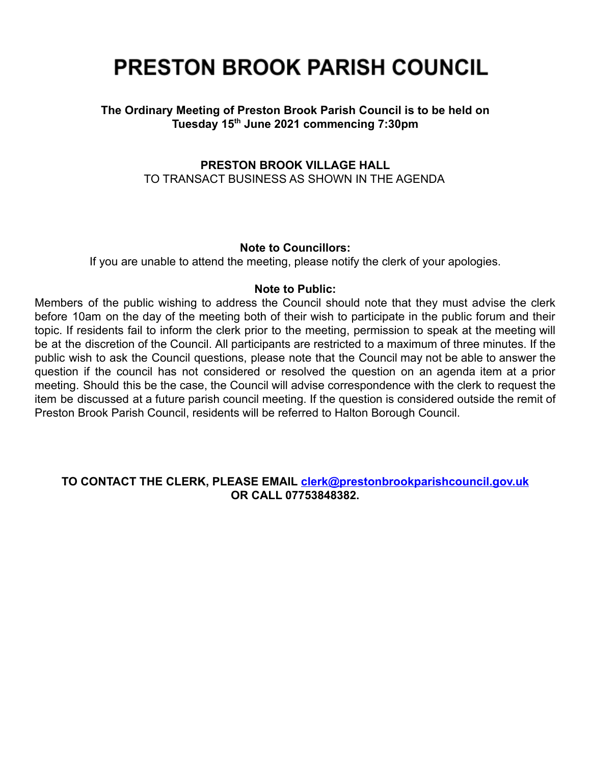# **PRESTON BROOK PARISH COUNCIL**

## **The Ordinary Meeting of Preston Brook Parish Council is to be held on Tuesday 15th June 2021 commencing 7:30pm**

## **PRESTON BROOK VILLAGE HALL** TO TRANSACT BUSINESS AS SHOWN IN THE AGENDA

## **Note to Councillors:**

If you are unable to attend the meeting, please notify the clerk of your apologies.

#### **Note to Public:**

Members of the public wishing to address the Council should note that they must advise the clerk before 10am on the day of the meeting both of their wish to participate in the public forum and their topic. If residents fail to inform the clerk prior to the meeting, permission to speak at the meeting will be at the discretion of the Council. All participants are restricted to a maximum of three minutes. If the public wish to ask the Council questions, please note that the Council may not be able to answer the question if the council has not considered or resolved the question on an agenda item at a prior meeting. Should this be the case, the Council will advise correspondence with the clerk to request the item be discussed at a future parish council meeting. If the question is considered outside the remit of Preston Brook Parish Council, residents will be referred to Halton Borough Council.

## **TO CONTACT THE CLERK, PLEASE EMAIL [clerk@prestonbrookparishcouncil.gov.uk](mailto:clerk@prestonbrookparishcouncil.gov.uk) OR CALL 07753848382.**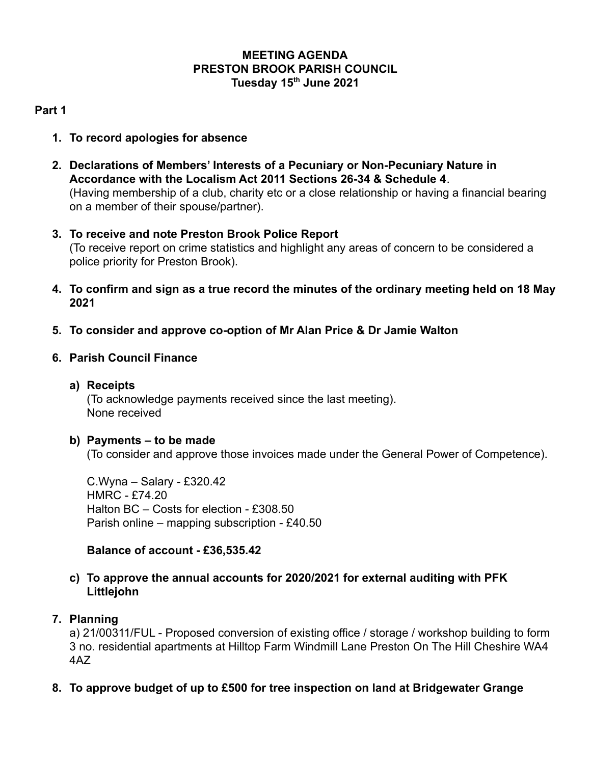## **MEETING AGENDA PRESTON BROOK PARISH COUNCIL Tuesday 15th June 2021**

# **Part 1**

- **1. To record apologies for absence**
- **2. Declarations of Members' Interests of a Pecuniary or Non-Pecuniary Nature in Accordance with the Localism Act 2011 Sections 26-34 & Schedule 4**. (Having membership of a club, charity etc or a close relationship or having a financial bearing on a member of their spouse/partner).
- **3. To receive and note Preston Brook Police Report** (To receive report on crime statistics and highlight any areas of concern to be considered a police priority for Preston Brook).
- **4. To confirm and sign as a true record the minutes of the ordinary meeting held on 18 May 2021**
- **5. To consider and approve co-option of Mr Alan Price & Dr Jamie Walton**
- **6. Parish Council Finance**
	- **a) Receipts**

(To acknowledge payments received since the last meeting). None received

## **b) Payments – to be made**

(To consider and approve those invoices made under the General Power of Competence).

C.Wyna – Salary - £320.42 HMRC - £74.20 Halton BC – Costs for election - £308.50 Parish online – mapping subscription - £40.50

## **Balance of account - £36,535.42**

## **c) To approve the annual accounts for 2020/2021 for external auditing with PFK Littlejohn**

## **7. Planning**

a) 21/00311/FUL - Proposed conversion of existing office / storage / workshop building to form 3 no. residential apartments at Hilltop Farm Windmill Lane Preston On The Hill Cheshire WA4 4AZ

**8. To approve budget of up to £500 for tree inspection on land at Bridgewater Grange**